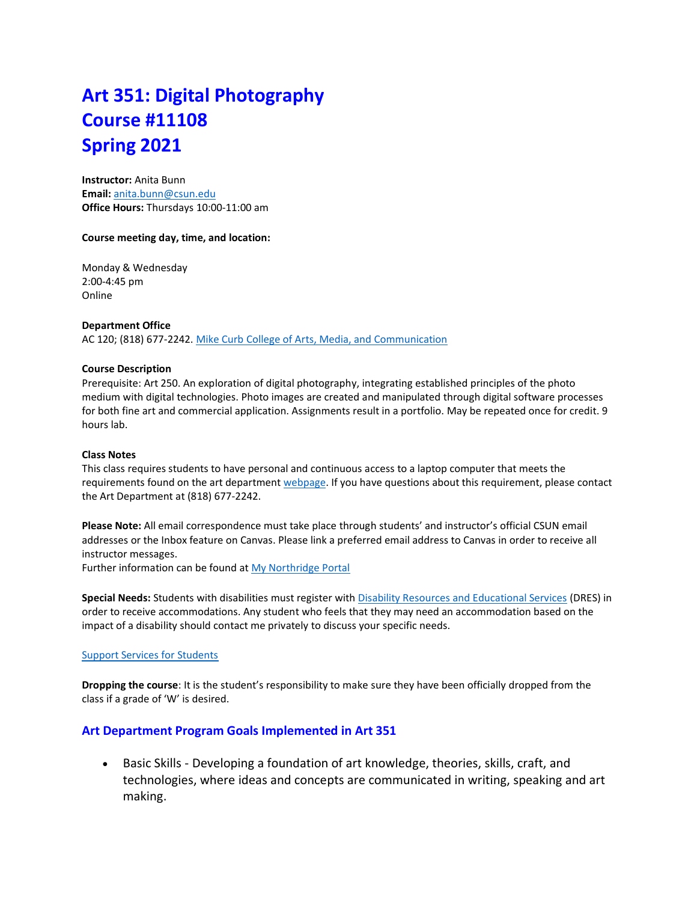# **Art 351: Digital Photography Course #11108 Spring 2021**

**Instructor:** Anita Bunn **Email:** [anita.bunn@csun.edu](mailto:anita.bunn@csun.edu) **Office Hours:** Thursdays 10:00-11:00 am

#### **Course meeting day, time, and location:**

Monday & Wednesday 2:00-4:45 pm Online

#### **Department Office**

AC 120; (818) 677-2242. [Mike Curb College of Arts, Media, and Communication](https://www.csun.edu/mike-curb-arts-media-communication)

#### **Course Description**

Prerequisite: Art 250. An exploration of digital photography, integrating established principles of the photo medium with digital technologies. Photo images are created and manipulated through digital software processes for both fine art and commercial application. Assignments result in a portfolio. May be repeated once for credit. 9 hours lab.

#### **Class Notes**

This class requires students to have personal and continuous access to a laptop computer that meets the requirements found on the art department [webpage.](https://www.csun.edu/mike-curb-arts-media-communication/art/laptop) If you have questions about this requirement, please contact the Art Department at (818) 677-2242.

**Please Note:** All email correspondence must take place through students' and instructor's official CSUN email addresses or the Inbox feature on Canvas. Please link a preferred email address to Canvas in order to receive all instructor messages.

Further information can be found at My [Northridge Portal](http://www.csun.edu/)

**Special Needs:** Students with disabilities must register wit[h Disability Resources and Educational Services](https://www.csun.edu/dres) (DRES) in order to receive accommodations. Any student who feels that they may need an accommodation based on the impact of a disability should contact me privately to discuss your specific needs.

#### [Support Services for Students](https://www.csun.edu/covid-19/covid-19-information-students)

**Dropping the course**: It is the student's responsibility to make sure they have been officially dropped from the class if a grade of 'W' is desired.

## **Art Department Program Goals Implemented in Art 351**

• Basic Skills - Developing a foundation of art knowledge, theories, skills, craft, and technologies, where ideas and concepts are communicated in writing, speaking and art making.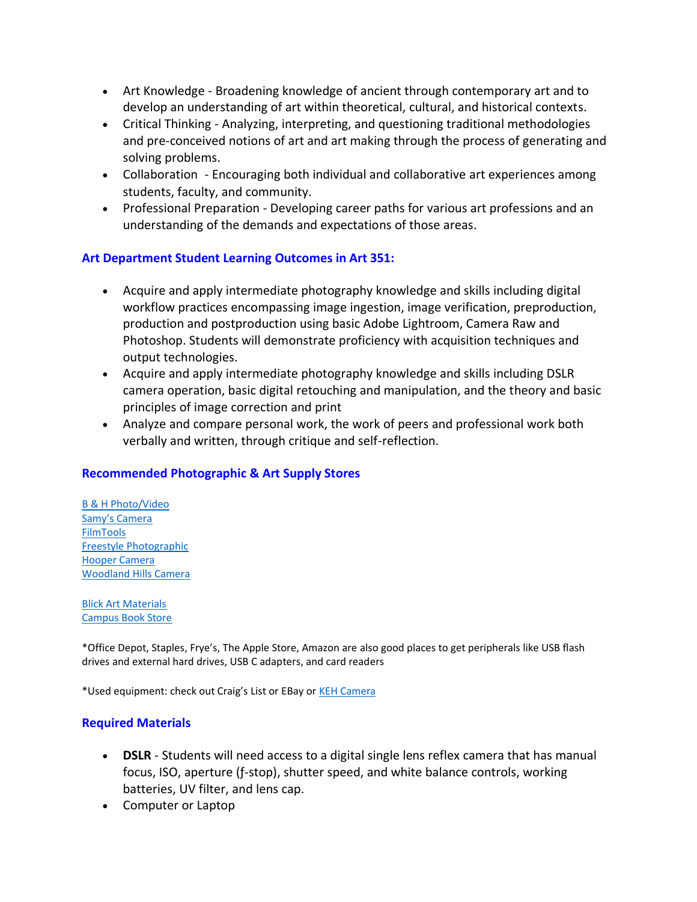- Art Knowledge Broadening knowledge of ancient through contemporary art and to develop an understanding of art within theoretical, cultural, and historical contexts.
- Critical Thinking Analyzing, interpreting, and questioning traditional methodologies and pre-conceived notions of art and art making through the process of generating and solving problems.
- Collaboration Encouraging both individual and collaborative art experiences among students, faculty, and community.
- Professional Preparation Developing career paths for various art professions and an understanding of the demands and expectations of those areas.

# **Art Department Student Learning Outcomes in Art 351:**

- Acquire and apply intermediate photography knowledge and skills including digital workflow practices encompassing image ingestion, image verification, preproduction, production and postproduction using basic Adobe Lightroom, Camera Raw and Photoshop. Students will demonstrate proficiency with acquisition techniques and output technologies.
- Acquire and apply intermediate photography knowledge and skills including DSLR camera operation, basic digital retouching and manipulation, and the theory and basic principles of image correction and print
- Analyze and compare personal work, the work of peers and professional work both verbally and written, through critique and self-reflection.

# **Recommended Photographic & Art Supply Stores**

[B & H Photo/Video](http://www.bhphotovideo.com/) [Samy's Camera](http://www.samys.com/) FilmTools [Freestyle Photographic](http://www.freestylephoto.biz/) [Hooper Camera](http://hoopercamera.com/) [Woodland Hills Camera](http://www.whcamera.com/)

[Blick Art Materials](http://www.dickblick.com/) [Campus Book Store](https://www.csun.edu/tuc/csun-campus-store)

\*Office Depot, Staples, Frye's, The Apple Store, Amazon are also good places to get peripherals like USB flash drives and external hard drives, USB C adapters, and card readers

\*Used equipment: check out Craig's List or EBay or [KEH Camera](https://www.keh.com/)

## **Required Materials**

- **DSLR** Students will need access to a digital single lens reflex camera that has manual focus, ISO, aperture (ƒ-stop), shutter speed, and white balance controls, working batteries, UV filter, and lens cap.
- Computer or Laptop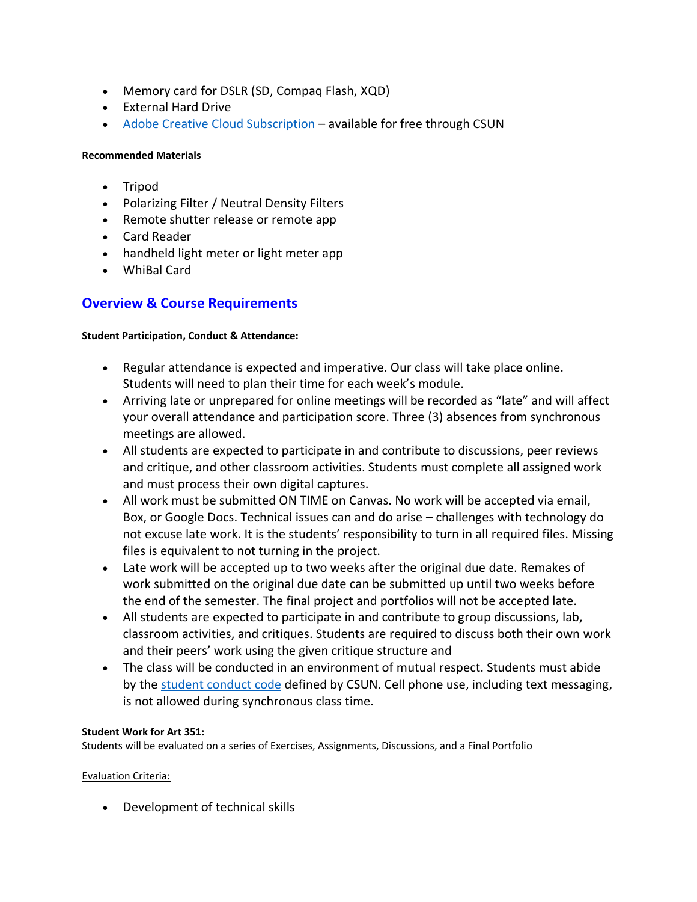- Memory card for DSLR (SD, Compaq Flash, XQD)
- External Hard Drive
- [Adobe Creative Cloud Subscription](https://www.csun.edu/it/adobe-creative-cloud-students) available for free through CSUN

## **Recommended Materials**

- Tripod
- Polarizing Filter / Neutral Density Filters
- Remote shutter release or remote app
- Card Reader
- handheld light meter or light meter app
- WhiBal Card

# **Overview & Course Requirements**

## **Student Participation, Conduct & Attendance:**

- Regular attendance is expected and imperative. Our class will take place online. Students will need to plan their time for each week's module.
- Arriving late or unprepared for online meetings will be recorded as "late" and will affect your overall attendance and participation score. Three (3) absences from synchronous meetings are allowed.
- All students are expected to participate in and contribute to discussions, peer reviews and critique, and other classroom activities. Students must complete all assigned work and must process their own digital captures.
- All work must be submitted ON TIME on Canvas. No work will be accepted via email, Box, or Google Docs. Technical issues can and do arise – challenges with technology do not excuse late work. It is the students' responsibility to turn in all required files. Missing files is equivalent to not turning in the project.
- Late work will be accepted up to two weeks after the original due date. Remakes of work submitted on the original due date can be submitted up until two weeks before the end of the semester. The final project and portfolios will not be accepted late.
- All students are expected to participate in and contribute to group discussions, lab, classroom activities, and critiques. Students are required to discuss both their own work and their peers' work using the given critique structure and
- The class will be conducted in an environment of mutual respect. Students must abide by the [student conduct code](https://catalog.csun.edu/policies/student-conduct-code/) defined by CSUN. Cell phone use, including text messaging, is not allowed during synchronous class time.

## **Student Work for Art 351:**

Students will be evaluated on a series of Exercises, Assignments, Discussions, and a Final Portfolio

## Evaluation Criteria:

• Development of technical skills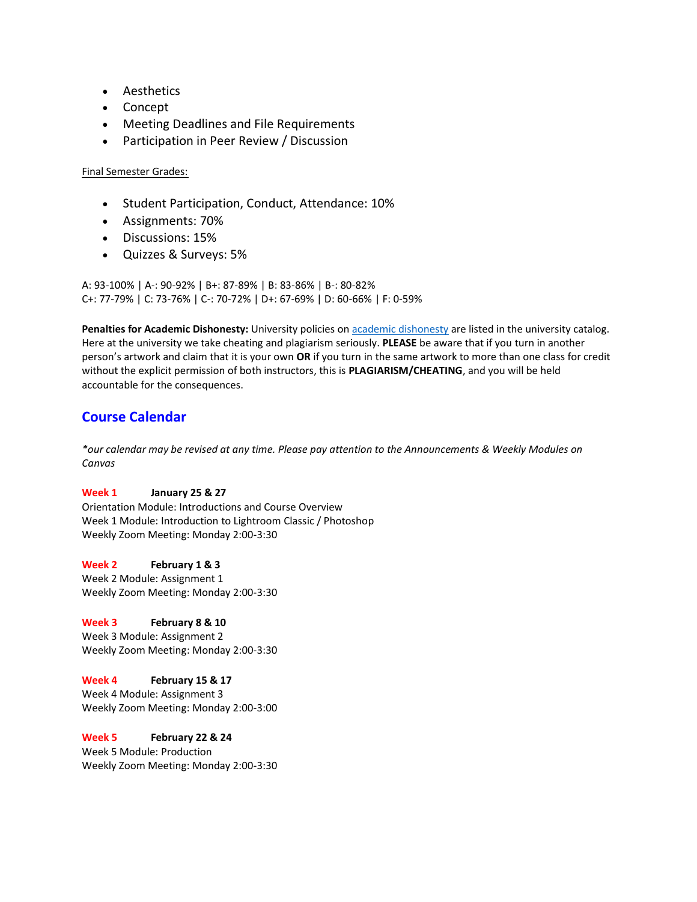- Aesthetics
- Concept
- Meeting Deadlines and File Requirements
- Participation in Peer Review / Discussion

### Final Semester Grades:

- Student Participation, Conduct, Attendance: 10%
- Assignments: 70%
- Discussions: 15%
- Quizzes & Surveys: 5%

A: 93-100% | A-: 90-92% | B+: 87-89% | B: 83-86% | B-: 80-82% C+: 77-79% | C: 73-76% | C-: 70-72% | D+: 67-69% | D: 60-66% | F: 0-59%

**Penalties for Academic Dishonesty:** University policies o[n academic dishonesty](https://catalog.csun.edu/policies/academic-dishonesty/) are listed in the university catalog. Here at the university we take cheating and plagiarism seriously. **PLEASE** be aware that if you turn in another person's artwork and claim that it is your own **OR** if you turn in the same artwork to more than one class for credit without the explicit permission of both instructors, this is **PLAGIARISM/CHEATING**, and you will be held accountable for the consequences.

# **Course Calendar**

*\*our calendar may be revised at any time. Please pay attention to the Announcements & Weekly Modules on Canvas*

#### **Week 1 January 25 & 27**

Orientation Module: Introductions and Course Overview Week 1 Module: Introduction to Lightroom Classic / Photoshop Weekly Zoom Meeting: Monday 2:00-3:30

**Week 2 February 1 & 3** Week 2 Module: Assignment 1 Weekly Zoom Meeting: Monday 2:00-3:30

## **Week 3 February 8 & 10**

Week 3 Module: Assignment 2 Weekly Zoom Meeting: Monday 2:00-3:30

#### **Week 4 February 15 & 17**

Week 4 Module: Assignment 3 Weekly Zoom Meeting: Monday 2:00-3:00

## **Week 5 February 22 & 24**

Week 5 Module: Production Weekly Zoom Meeting: Monday 2:00-3:30